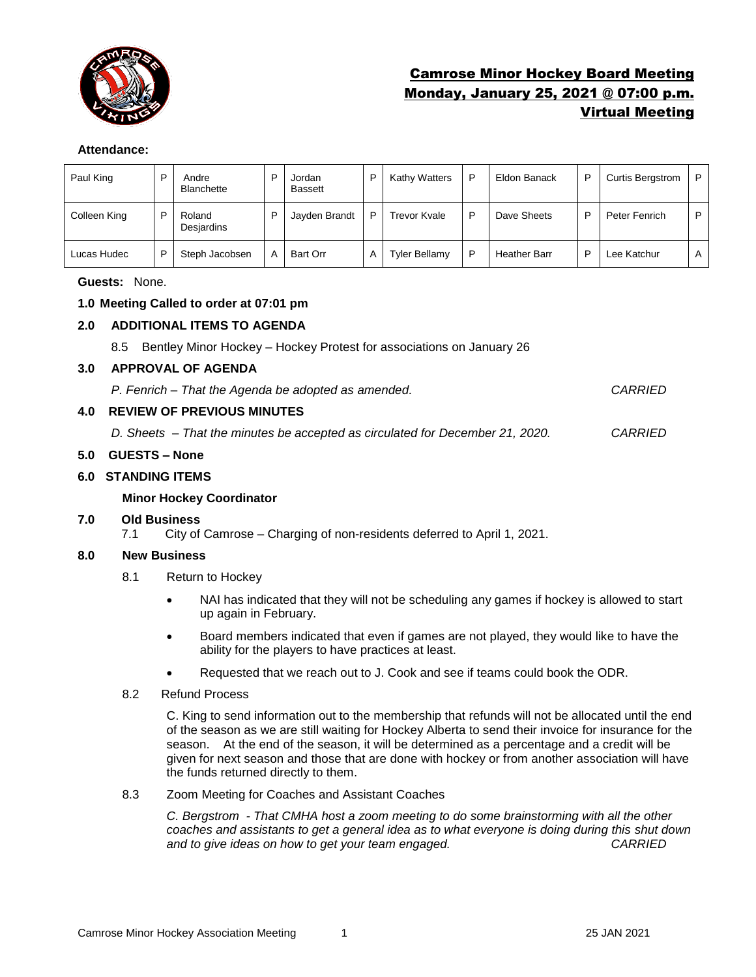

# Camrose Minor Hockey Board Meeting Monday, January 25, 2021 @ 07:00 p.m. Virtual Meeting

## **Attendance:**

| Paul King    | D | Andre<br><b>Blanchette</b> | D | Jordan<br><b>Bassett</b> | D | Kathy Watters        | P | Eldon Banack        | P | <b>Curtis Bergstrom</b> | P |
|--------------|---|----------------------------|---|--------------------------|---|----------------------|---|---------------------|---|-------------------------|---|
| Colleen King | D | Roland<br>Desjardins       | D | Jayden Brandt            | D | Trevor Kvale         | D | Dave Sheets         | D | Peter Fenrich           | D |
| Lucas Hudec  | D | Steph Jacobsen             | A | <b>Bart Orr</b>          | A | <b>Tyler Bellamy</b> | D | <b>Heather Barr</b> | D | Lee Katchur             | A |

**Guests:** None.

# **1.0 Meeting Called to order at 07:01 pm**

# **2.0 ADDITIONAL ITEMS TO AGENDA**

8.5 Bentley Minor Hockey – Hockey Protest for associations on January 26

#### **3.0 APPROVAL OF AGENDA**

*P. Fenrich – That the Agenda be adopted as amended. CARRIED*

# **4.0 REVIEW OF PREVIOUS MINUTES**

*D. Sheets – That the minutes be accepted as circulated for December 21, 2020. CARRIED*

## **5.0 GUESTS – None**

## **6.0 STANDING ITEMS**

## **Minor Hockey Coordinator**

## **7.0 Old Business**

7.1 City of Camrose – Charging of non-residents deferred to April 1, 2021.

## **8.0 New Business**

- 8.1 Return to Hockey
	- NAI has indicated that they will not be scheduling any games if hockey is allowed to start up again in February.
	- Board members indicated that even if games are not played, they would like to have the ability for the players to have practices at least.
	- Requested that we reach out to J. Cook and see if teams could book the ODR.
- 8.2 Refund Process

C. King to send information out to the membership that refunds will not be allocated until the end of the season as we are still waiting for Hockey Alberta to send their invoice for insurance for the season. At the end of the season, it will be determined as a percentage and a credit will be given for next season and those that are done with hockey or from another association will have the funds returned directly to them.

8.3 Zoom Meeting for Coaches and Assistant Coaches

*C. Bergstrom - That CMHA host a zoom meeting to do some brainstorming with all the other coaches and assistants to get a general idea as to what everyone is doing during this shut down and to give ideas on how to get your team engaged. CARRIED*